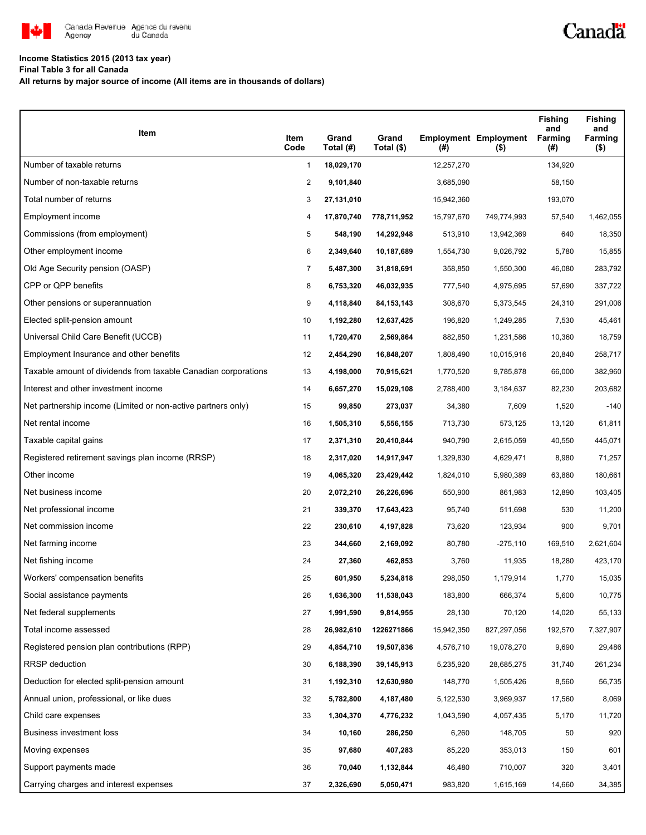

## **Income Statistics 2015 (2013 tax year)**

**Final Table 3 for all Canada**

**All returns by major source of income (All items are in thousands of dollars)**

| Item                                                           | Item<br>Code   | Grand<br>Total (#) | Grand<br>Total (\$) | (#)        | <b>Employment Employment</b><br>$($ \$) | <b>Fishing</b><br>and<br>Farming<br>(#) | <b>Fishing</b><br>and<br>Farming<br>$($ \$) |
|----------------------------------------------------------------|----------------|--------------------|---------------------|------------|-----------------------------------------|-----------------------------------------|---------------------------------------------|
| Number of taxable returns                                      | $\mathbf{1}$   | 18,029,170         |                     | 12,257,270 |                                         | 134,920                                 |                                             |
| Number of non-taxable returns                                  | $\overline{2}$ | 9,101,840          |                     | 3,685,090  |                                         | 58,150                                  |                                             |
| Total number of returns                                        | 3              | 27,131,010         |                     | 15,942,360 |                                         | 193,070                                 |                                             |
| Employment income                                              | 4              | 17,870,740         | 778,711,952         | 15,797,670 | 749,774,993                             | 57,540                                  | 1,462,055                                   |
| Commissions (from employment)                                  | 5              | 548,190            | 14,292,948          | 513,910    | 13,942,369                              | 640                                     | 18,350                                      |
| Other employment income                                        | 6              | 2,349,640          | 10,187,689          | 1,554,730  | 9.026.792                               | 5,780                                   | 15,855                                      |
| Old Age Security pension (OASP)                                | 7              | 5,487,300          | 31,818,691          | 358,850    | 1,550,300                               | 46,080                                  | 283,792                                     |
| CPP or QPP benefits                                            | 8              | 6,753,320          | 46,032,935          | 777,540    | 4,975,695                               | 57,690                                  | 337,722                                     |
| Other pensions or superannuation                               | 9              | 4,118,840          | 84, 153, 143        | 308,670    | 5,373,545                               | 24,310                                  | 291,006                                     |
| Elected split-pension amount                                   | 10             | 1,192,280          | 12,637,425          | 196,820    | 1,249,285                               | 7,530                                   | 45,461                                      |
| Universal Child Care Benefit (UCCB)                            | 11             | 1,720,470          | 2,569,864           | 882,850    | 1,231,586                               | 10,360                                  | 18,759                                      |
| Employment Insurance and other benefits                        | 12             | 2,454,290          | 16,848,207          | 1,808,490  | 10,015,916                              | 20,840                                  | 258,717                                     |
| Taxable amount of dividends from taxable Canadian corporations | 13             | 4,198,000          | 70,915,621          | 1,770,520  | 9,785,878                               | 66,000                                  | 382,960                                     |
| Interest and other investment income                           | 14             | 6,657,270          | 15,029,108          | 2,788,400  | 3,184,637                               | 82,230                                  | 203,682                                     |
| Net partnership income (Limited or non-active partners only)   | 15             | 99,850             | 273,037             | 34,380     | 7,609                                   | 1,520                                   | $-140$                                      |
| Net rental income                                              | 16             | 1,505,310          | 5,556,155           | 713,730    | 573,125                                 | 13,120                                  | 61,811                                      |
| Taxable capital gains                                          | 17             | 2,371,310          | 20,410,844          | 940,790    | 2,615,059                               | 40,550                                  | 445,071                                     |
| Registered retirement savings plan income (RRSP)               | 18             | 2,317,020          | 14,917,947          | 1,329,830  | 4,629,471                               | 8,980                                   | 71,257                                      |
| Other income                                                   | 19             | 4,065,320          | 23,429,442          | 1,824,010  | 5,980,389                               | 63,880                                  | 180,661                                     |
| Net business income                                            | 20             | 2,072,210          | 26,226,696          | 550,900    | 861,983                                 | 12,890                                  | 103,405                                     |
| Net professional income                                        | 21             | 339,370            | 17,643,423          | 95,740     | 511,698                                 | 530                                     | 11,200                                      |
| Net commission income                                          | 22             | 230,610            | 4,197,828           | 73,620     | 123,934                                 | 900                                     | 9,701                                       |
| Net farming income                                             | 23             | 344,660            | 2,169,092           | 80,780     | $-275,110$                              | 169,510                                 | 2,621,604                                   |
| Net fishing income                                             | 24             | 27,360             | 462,853             | 3,760      | 11,935                                  | 18,280                                  | 423,170                                     |
| Workers' compensation benefits                                 | 25             | 601,950            | 5,234,818           | 298,050    | 1,179,914                               | 1,770                                   | 15,035                                      |
| Social assistance payments                                     | 26             | 1,636,300          | 11,538,043          | 183,800    | 666,374                                 | 5,600                                   | 10,775                                      |
| Net federal supplements                                        | 27             | 1,991,590          | 9,814,955           | 28,130     | 70,120                                  | 14,020                                  | 55,133                                      |
| Total income assessed                                          | 28             | 26,982,610         | 1226271866          | 15,942,350 | 827,297,056                             | 192,570                                 | 7,327,907                                   |
| Registered pension plan contributions (RPP)                    | 29             | 4,854,710          | 19,507,836          | 4,576,710  | 19,078,270                              | 9,690                                   | 29,486                                      |
| <b>RRSP</b> deduction                                          | 30             | 6,188,390          | 39,145,913          | 5,235,920  | 28,685,275                              | 31,740                                  | 261,234                                     |
| Deduction for elected split-pension amount                     | 31             | 1,192,310          | 12,630,980          | 148,770    | 1,505,426                               | 8,560                                   | 56,735                                      |
| Annual union, professional, or like dues                       | 32             | 5,782,800          | 4,187,480           | 5,122,530  | 3,969,937                               | 17,560                                  | 8,069                                       |
| Child care expenses                                            | 33             | 1,304,370          | 4,776,232           | 1,043,590  | 4,057,435                               | 5,170                                   | 11,720                                      |
| Business investment loss                                       | 34             | 10,160             | 286,250             | 6,260      | 148,705                                 | 50                                      | 920                                         |
| Moving expenses                                                | 35             | 97,680             | 407,283             | 85,220     | 353,013                                 | 150                                     | 601                                         |
| Support payments made                                          | 36             | 70,040             | 1,132,844           | 46,480     | 710,007                                 | 320                                     | 3,401                                       |
| Carrying charges and interest expenses                         | 37             | 2,326,690          | 5,050,471           | 983,820    | 1,615,169                               | 14,660                                  | 34,385                                      |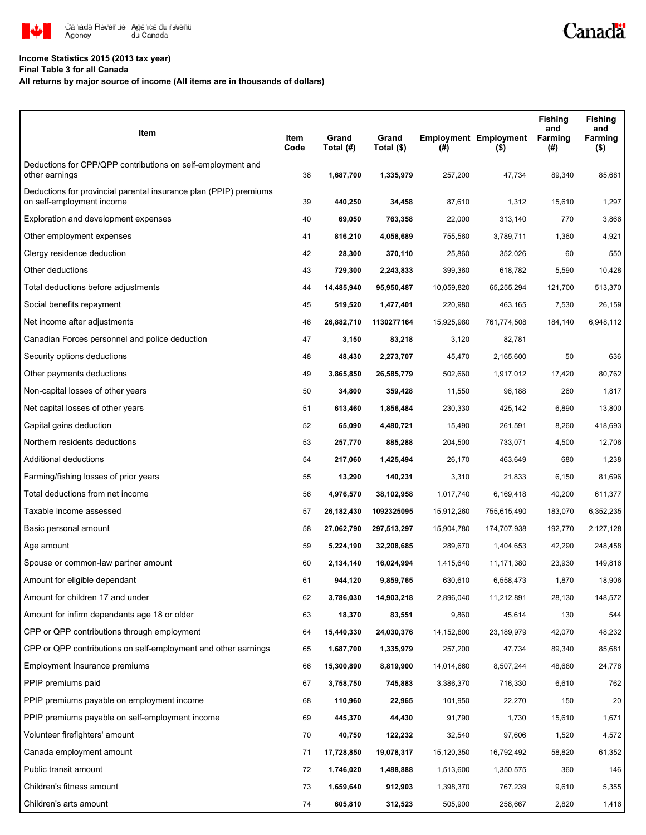

## **Income Statistics 2015 (2013 tax year)**

**Final Table 3 for all Canada**

## **All returns by major source of income (All items are in thousands of dollars)**

| Item                                                                                           | Item<br>Code | Grand<br>Total (#) | Grand<br>Total (\$) | $($ #)     | <b>Employment Employment</b><br>$($ \$) | <b>Fishing</b><br>and<br>Farming<br>(#) | <b>Fishing</b><br>and<br>Farming<br>$($ \$) |
|------------------------------------------------------------------------------------------------|--------------|--------------------|---------------------|------------|-----------------------------------------|-----------------------------------------|---------------------------------------------|
| Deductions for CPP/QPP contributions on self-employment and<br>other earnings                  | 38           | 1,687,700          | 1,335,979           | 257,200    | 47,734                                  | 89,340                                  | 85,681                                      |
| Deductions for provincial parental insurance plan (PPIP) premiums<br>on self-employment income | 39           | 440,250            | 34,458              | 87,610     | 1,312                                   | 15,610                                  | 1,297                                       |
| Exploration and development expenses                                                           | 40           | 69,050             | 763,358             | 22,000     | 313,140                                 | 770                                     | 3,866                                       |
| Other employment expenses                                                                      | 41           | 816,210            | 4,058,689           | 755,560    | 3,789,711                               | 1,360                                   | 4,921                                       |
| Clergy residence deduction                                                                     | 42           | 28,300             | 370,110             | 25,860     | 352,026                                 | 60                                      | 550                                         |
| Other deductions                                                                               | 43           | 729,300            | 2,243,833           | 399,360    | 618,782                                 | 5,590                                   | 10,428                                      |
| Total deductions before adjustments                                                            | 44           | 14,485,940         | 95,950,487          | 10,059,820 | 65,255,294                              | 121,700                                 | 513,370                                     |
| Social benefits repayment                                                                      | 45           | 519,520            | 1,477,401           | 220,980    | 463,165                                 | 7,530                                   | 26,159                                      |
| Net income after adjustments                                                                   | 46           | 26,882,710         | 1130277164          | 15,925,980 | 761,774,508                             | 184,140                                 | 6,948,112                                   |
| Canadian Forces personnel and police deduction                                                 | 47           | 3,150              | 83,218              | 3,120      | 82,781                                  |                                         |                                             |
| Security options deductions                                                                    | 48           | 48,430             | 2,273,707           | 45,470     | 2,165,600                               | 50                                      | 636                                         |
| Other payments deductions                                                                      | 49           | 3,865,850          | 26,585,779          | 502,660    | 1,917,012                               | 17,420                                  | 80,762                                      |
| Non-capital losses of other years                                                              | 50           | 34,800             | 359,428             | 11,550     | 96,188                                  | 260                                     | 1,817                                       |
| Net capital losses of other years                                                              | 51           | 613,460            | 1,856,484           | 230,330    | 425,142                                 | 6,890                                   | 13,800                                      |
| Capital gains deduction                                                                        | 52           | 65,090             | 4,480,721           | 15,490     | 261,591                                 | 8,260                                   | 418,693                                     |
| Northern residents deductions                                                                  | 53           | 257,770            | 885,288             | 204,500    | 733,071                                 | 4,500                                   | 12,706                                      |
| Additional deductions                                                                          | 54           | 217,060            | 1,425,494           | 26,170     | 463,649                                 | 680                                     | 1,238                                       |
| Farming/fishing losses of prior years                                                          | 55           | 13,290             | 140,231             | 3,310      | 21,833                                  | 6,150                                   | 81,696                                      |
| Total deductions from net income                                                               | 56           | 4,976,570          | 38,102,958          | 1,017,740  | 6,169,418                               | 40,200                                  | 611,377                                     |
| Taxable income assessed                                                                        | 57           | 26,182,430         | 1092325095          | 15,912,260 | 755,615,490                             | 183,070                                 | 6,352,235                                   |
| Basic personal amount                                                                          | 58           | 27,062,790         | 297,513,297         | 15,904,780 | 174,707,938                             | 192,770                                 | 2,127,128                                   |
| Age amount                                                                                     | 59           | 5,224,190          | 32,208,685          | 289,670    | 1,404,653                               | 42,290                                  | 248,458                                     |
| Spouse or common-law partner amount                                                            | 60           | 2,134,140          | 16,024,994          | 1,415,640  | 11,171,380                              | 23,930                                  | 149,816                                     |
| Amount for eligible dependant                                                                  | 61           | 944.120            | 9,859,765           | 630,610    | 6,558,473                               | 1,870                                   | 18,906                                      |
| Amount for children 17 and under                                                               | 62           | 3,786,030          | 14,903,218          | 2,896,040  | 11,212,891                              | 28,130                                  | 148,572                                     |
| Amount for infirm dependants age 18 or older                                                   | 63           | 18,370             | 83,551              | 9,860      | 45,614                                  | 130                                     | 544                                         |
| CPP or QPP contributions through employment                                                    | 64           | 15,440,330         | 24,030,376          | 14,152,800 | 23,189,979                              | 42,070                                  | 48,232                                      |
| CPP or QPP contributions on self-employment and other earnings                                 | 65           | 1,687,700          | 1,335,979           | 257,200    | 47,734                                  | 89,340                                  | 85,681                                      |
| Employment Insurance premiums                                                                  | 66           | 15,300,890         | 8,819,900           | 14,014,660 | 8,507,244                               | 48,680                                  | 24,778                                      |
| PPIP premiums paid                                                                             | 67           | 3,758,750          | 745,883             | 3,386,370  | 716,330                                 | 6,610                                   | 762                                         |
| PPIP premiums payable on employment income                                                     | 68           | 110,960            | 22,965              | 101,950    | 22,270                                  | 150                                     | 20                                          |
| PPIP premiums payable on self-employment income                                                | 69           | 445,370            | 44,430              | 91,790     | 1,730                                   | 15,610                                  | 1,671                                       |
| Volunteer firefighters' amount                                                                 | 70           | 40,750             | 122,232             | 32,540     | 97,606                                  | 1,520                                   | 4,572                                       |
| Canada employment amount                                                                       | 71           | 17,728,850         | 19,078,317          | 15,120,350 | 16,792,492                              | 58,820                                  | 61,352                                      |
| Public transit amount                                                                          | 72           | 1,746,020          | 1,488,888           | 1,513,600  | 1,350,575                               | 360                                     | 146                                         |
| Children's fitness amount                                                                      | 73           | 1,659,640          | 912,903             | 1,398,370  | 767,239                                 | 9,610                                   | 5,355                                       |
| Children's arts amount                                                                         | 74           | 605,810            | 312,523             | 505,900    | 258,667                                 | 2,820                                   | 1,416                                       |

Canadä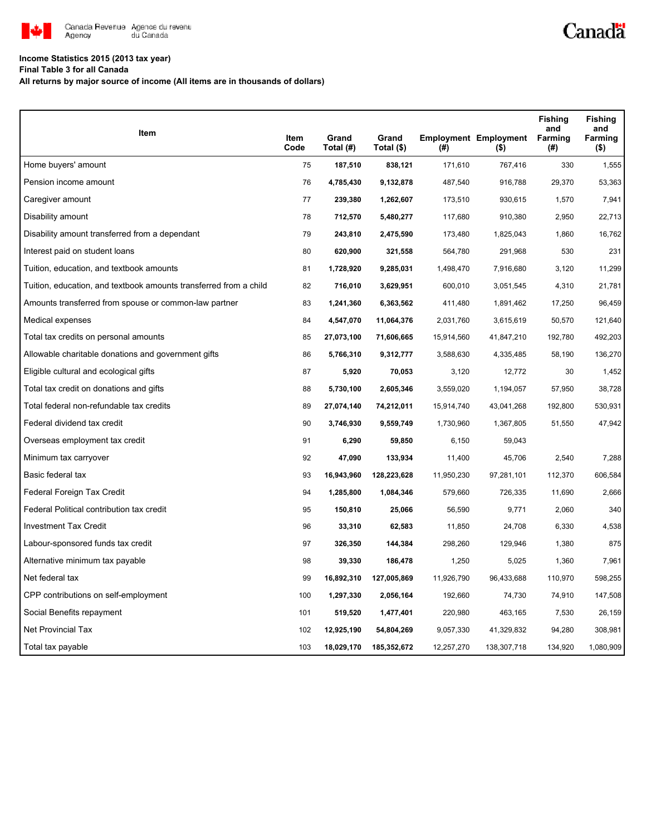

## **Income Statistics 2015 (2013 tax year)**

**Final Table 3 for all Canada**

**All returns by major source of income (All items are in thousands of dollars)**

| Item                                                              |              | Grand      | Grand       |            | <b>Employment Employment</b> | <b>Fishing</b><br>and<br>Farming | <b>Fishing</b><br>and<br>Farming |
|-------------------------------------------------------------------|--------------|------------|-------------|------------|------------------------------|----------------------------------|----------------------------------|
|                                                                   | Item<br>Code | Total (#)  | Total (\$)  | (#)        | (\$)                         | (#)                              | $($ \$)                          |
| Home buyers' amount                                               | 75           | 187,510    | 838,121     | 171,610    | 767,416                      | 330                              | 1,555                            |
| Pension income amount                                             | 76           | 4,785,430  | 9,132,878   | 487,540    | 916,788                      | 29,370                           | 53,363                           |
| Caregiver amount                                                  | 77           | 239,380    | 1,262,607   | 173,510    | 930,615                      | 1,570                            | 7,941                            |
| Disability amount                                                 | 78           | 712,570    | 5,480,277   | 117,680    | 910,380                      | 2,950                            | 22,713                           |
| Disability amount transferred from a dependant                    | 79           | 243,810    | 2,475,590   | 173,480    | 1,825,043                    | 1,860                            | 16,762                           |
| Interest paid on student loans                                    | 80           | 620,900    | 321,558     | 564,780    | 291,968                      | 530                              | 231                              |
| Tuition, education, and textbook amounts                          | 81           | 1,728,920  | 9,285,031   | 1,498,470  | 7,916,680                    | 3,120                            | 11,299                           |
| Tuition, education, and textbook amounts transferred from a child | 82           | 716,010    | 3,629,951   | 600,010    | 3,051,545                    | 4,310                            | 21,781                           |
| Amounts transferred from spouse or common-law partner             | 83           | 1,241,360  | 6,363,562   | 411,480    | 1,891,462                    | 17,250                           | 96,459                           |
| Medical expenses                                                  | 84           | 4,547,070  | 11,064,376  | 2,031,760  | 3,615,619                    | 50,570                           | 121,640                          |
| Total tax credits on personal amounts                             | 85           | 27,073,100 | 71,606,665  | 15,914,560 | 41,847,210                   | 192,780                          | 492,203                          |
| Allowable charitable donations and government gifts               | 86           | 5,766,310  | 9,312,777   | 3,588,630  | 4,335,485                    | 58,190                           | 136,270                          |
| Eligible cultural and ecological gifts                            | 87           | 5,920      | 70,053      | 3,120      | 12,772                       | 30                               | 1,452                            |
| Total tax credit on donations and gifts                           | 88           | 5,730,100  | 2,605,346   | 3,559,020  | 1,194,057                    | 57,950                           | 38,728                           |
| Total federal non-refundable tax credits                          | 89           | 27,074,140 | 74,212,011  | 15,914,740 | 43,041,268                   | 192,800                          | 530,931                          |
| Federal dividend tax credit                                       | 90           | 3,746,930  | 9,559,749   | 1,730,960  | 1,367,805                    | 51,550                           | 47,942                           |
| Overseas employment tax credit                                    | 91           | 6,290      | 59,850      | 6,150      | 59,043                       |                                  |                                  |
| Minimum tax carryover                                             | 92           | 47,090     | 133,934     | 11,400     | 45,706                       | 2,540                            | 7,288                            |
| Basic federal tax                                                 | 93           | 16,943,960 | 128,223,628 | 11,950,230 | 97,281,101                   | 112,370                          | 606,584                          |
| Federal Foreign Tax Credit                                        | 94           | 1,285,800  | 1,084,346   | 579,660    | 726,335                      | 11,690                           | 2,666                            |
| Federal Political contribution tax credit                         | 95           | 150,810    | 25,066      | 56,590     | 9,771                        | 2,060                            | 340                              |
| <b>Investment Tax Credit</b>                                      | 96           | 33,310     | 62,583      | 11,850     | 24,708                       | 6,330                            | 4,538                            |
| Labour-sponsored funds tax credit                                 | 97           | 326,350    | 144,384     | 298,260    | 129,946                      | 1,380                            | 875                              |
| Alternative minimum tax payable                                   | 98           | 39,330     | 186,478     | 1,250      | 5,025                        | 1,360                            | 7,961                            |
| Net federal tax                                                   | 99           | 16,892,310 | 127,005,869 | 11,926,790 | 96,433,688                   | 110,970                          | 598,255                          |
| CPP contributions on self-employment                              | 100          | 1,297,330  | 2,056,164   | 192,660    | 74,730                       | 74,910                           | 147,508                          |
| Social Benefits repayment                                         | 101          | 519,520    | 1,477,401   | 220,980    | 463,165                      | 7,530                            | 26,159                           |
| Net Provincial Tax                                                | 102          | 12,925,190 | 54,804,269  | 9,057,330  | 41,329,832                   | 94,280                           | 308,981                          |
| Total tax payable                                                 | 103          | 18,029,170 | 185,352,672 | 12,257,270 | 138,307,718                  | 134,920                          | 1,080,909                        |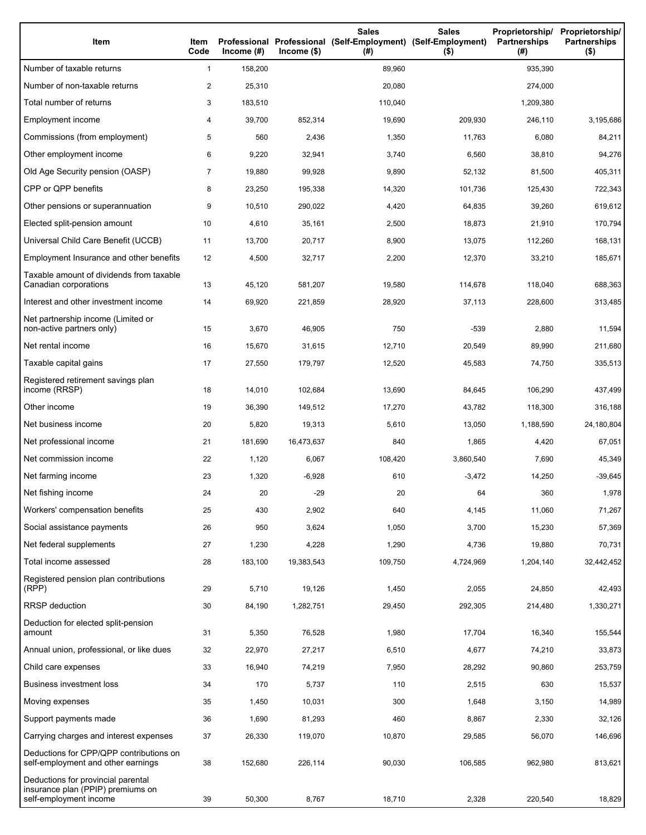| Item                                                                                              | Item<br>Code   | Income $(\#)$ | $lncome($ \$) | <b>Sales</b><br>Professional Professional (Self-Employment) (Self-Employment)<br>(#) | <b>Sales</b><br>$($ \$) | Proprietorship/<br><b>Partnerships</b><br>(#) | Proprietorship/<br><b>Partnerships</b><br>$($ \$) |
|---------------------------------------------------------------------------------------------------|----------------|---------------|---------------|--------------------------------------------------------------------------------------|-------------------------|-----------------------------------------------|---------------------------------------------------|
| Number of taxable returns                                                                         | 1              | 158,200       |               | 89,960                                                                               |                         | 935,390                                       |                                                   |
| Number of non-taxable returns                                                                     | $\overline{2}$ | 25,310        |               | 20,080                                                                               |                         | 274,000                                       |                                                   |
| Total number of returns                                                                           | 3              | 183,510       |               | 110,040                                                                              |                         | 1,209,380                                     |                                                   |
| Employment income                                                                                 | 4              | 39,700        | 852,314       | 19,690                                                                               | 209,930                 | 246,110                                       | 3,195,686                                         |
| Commissions (from employment)                                                                     | 5              | 560           | 2,436         | 1,350                                                                                | 11,763                  | 6,080                                         | 84,211                                            |
| Other employment income                                                                           | 6              | 9,220         | 32,941        | 3,740                                                                                | 6,560                   | 38,810                                        | 94,276                                            |
| Old Age Security pension (OASP)                                                                   | 7              | 19,880        | 99,928        | 9,890                                                                                | 52,132                  | 81,500                                        | 405,311                                           |
| CPP or QPP benefits                                                                               | 8              | 23,250        | 195,338       | 14,320                                                                               | 101,736                 | 125,430                                       | 722,343                                           |
| Other pensions or superannuation                                                                  | 9              | 10,510        | 290,022       | 4,420                                                                                | 64,835                  | 39,260                                        | 619,612                                           |
| Elected split-pension amount                                                                      | 10             | 4,610         | 35,161        | 2,500                                                                                | 18,873                  | 21,910                                        | 170,794                                           |
| Universal Child Care Benefit (UCCB)                                                               | 11             | 13,700        | 20,717        | 8,900                                                                                | 13,075                  | 112,260                                       | 168,131                                           |
| Employment Insurance and other benefits                                                           | 12             | 4,500         | 32,717        | 2,200                                                                                | 12,370                  | 33,210                                        | 185,671                                           |
| Taxable amount of dividends from taxable<br>Canadian corporations                                 | 13             | 45,120        | 581,207       | 19,580                                                                               | 114,678                 | 118,040                                       | 688,363                                           |
| Interest and other investment income                                                              | 14             | 69,920        | 221,859       | 28,920                                                                               | 37,113                  | 228,600                                       | 313,485                                           |
| Net partnership income (Limited or<br>non-active partners only)                                   | 15             | 3,670         | 46,905        | 750                                                                                  | $-539$                  | 2,880                                         | 11,594                                            |
| Net rental income                                                                                 | 16             | 15,670        | 31,615        | 12,710                                                                               | 20,549                  | 89,990                                        | 211,680                                           |
| Taxable capital gains                                                                             | 17             | 27,550        | 179,797       | 12,520                                                                               | 45,583                  | 74,750                                        | 335,513                                           |
| Registered retirement savings plan<br>income (RRSP)                                               | 18             | 14,010        | 102,684       | 13,690                                                                               | 84,645                  | 106,290                                       | 437,499                                           |
| Other income                                                                                      | 19             | 36,390        | 149,512       | 17,270                                                                               | 43,782                  | 118,300                                       | 316,188                                           |
| Net business income                                                                               | 20             | 5,820         | 19,313        | 5,610                                                                                | 13,050                  | 1,188,590                                     | 24,180,804                                        |
| Net professional income                                                                           | 21             | 181,690       | 16,473,637    | 840                                                                                  | 1,865                   | 4,420                                         | 67,051                                            |
| Net commission income                                                                             | 22             | 1,120         | 6,067         | 108,420                                                                              | 3,860,540               | 7,690                                         | 45,349                                            |
| Net farming income                                                                                | 23             | 1,320         | $-6,928$      | 610                                                                                  | $-3,472$                | 14,250                                        | $-39,645$                                         |
| Net fishing income                                                                                | 24             | 20            | $-29$         | 20                                                                                   | 64                      | 360                                           | 1,978                                             |
| Workers' compensation benefits                                                                    | 25             | 430           | 2,902         | 640                                                                                  | 4,145                   | 11,060                                        | 71,267                                            |
| Social assistance payments                                                                        | 26             | 950           | 3,624         | 1,050                                                                                | 3,700                   | 15,230                                        | 57,369                                            |
| Net federal supplements                                                                           | 27             | 1,230         | 4,228         | 1,290                                                                                | 4,736                   | 19,880                                        | 70,731                                            |
| Total income assessed                                                                             | 28             | 183,100       | 19,383,543    | 109,750                                                                              | 4,724,969               | 1,204,140                                     | 32,442,452                                        |
| Registered pension plan contributions<br>(RPP)                                                    | 29             | 5,710         | 19,126        | 1,450                                                                                | 2,055                   | 24,850                                        | 42,493                                            |
| RRSP deduction                                                                                    | 30             | 84,190        | 1,282,751     | 29,450                                                                               | 292,305                 | 214,480                                       | 1,330,271                                         |
| Deduction for elected split-pension<br>amount                                                     | 31             | 5,350         | 76,528        | 1,980                                                                                | 17,704                  | 16,340                                        | 155,544                                           |
| Annual union, professional, or like dues                                                          | 32             | 22,970        | 27,217        | 6,510                                                                                | 4,677                   | 74,210                                        | 33,873                                            |
| Child care expenses                                                                               | 33             | 16,940        | 74,219        | 7,950                                                                                | 28,292                  | 90,860                                        | 253,759                                           |
| Business investment loss                                                                          | 34             | 170           | 5,737         | 110                                                                                  | 2,515                   | 630                                           | 15,537                                            |
| Moving expenses                                                                                   | 35             | 1,450         | 10,031        | 300                                                                                  | 1,648                   | 3,150                                         | 14,989                                            |
| Support payments made                                                                             | 36             | 1,690         | 81,293        | 460                                                                                  | 8,867                   | 2,330                                         | 32,126                                            |
| Carrying charges and interest expenses                                                            | 37             | 26,330        | 119,070       | 10,870                                                                               | 29,585                  | 56,070                                        | 146,696                                           |
| Deductions for CPP/QPP contributions on<br>self-employment and other earnings                     | 38             | 152,680       | 226,114       | 90,030                                                                               | 106,585                 | 962,980                                       | 813,621                                           |
| Deductions for provincial parental<br>insurance plan (PPIP) premiums on<br>self-employment income | 39             | 50,300        | 8,767         | 18,710                                                                               | 2,328                   | 220,540                                       | 18,829                                            |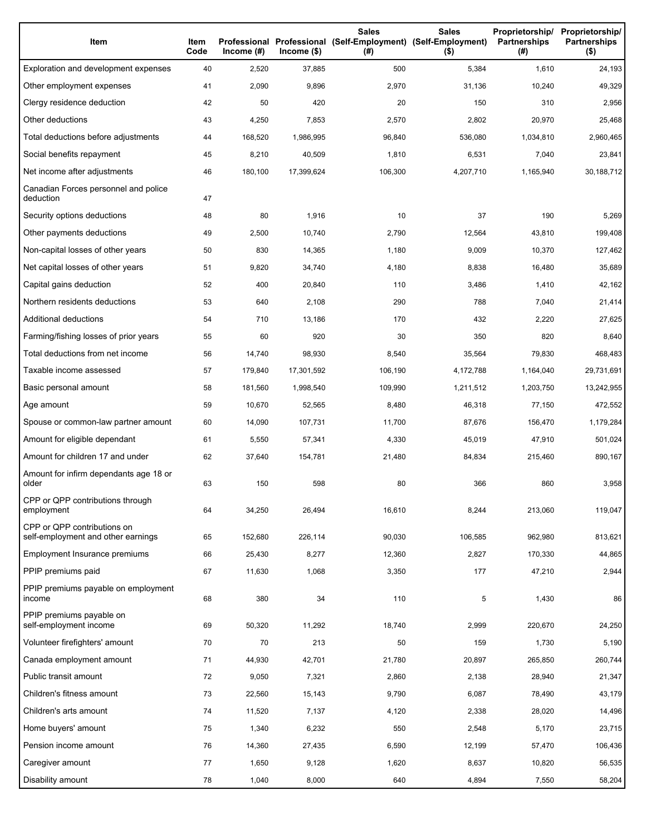| Item                                                              | Item<br>Code | Income $(\#)$ | Income(\$) | <b>Sales</b><br>Professional Professional (Self-Employment) (Self-Employment)<br>(#) | <b>Sales</b><br>$($ \$) | Proprietorship/<br><b>Partnerships</b><br>(#) | Proprietorship/<br><b>Partnerships</b><br>$($ \$) |
|-------------------------------------------------------------------|--------------|---------------|------------|--------------------------------------------------------------------------------------|-------------------------|-----------------------------------------------|---------------------------------------------------|
| Exploration and development expenses                              | 40           | 2,520         | 37,885     | 500                                                                                  | 5,384                   | 1,610                                         | 24,193                                            |
| Other employment expenses                                         | 41           | 2,090         | 9,896      | 2,970                                                                                | 31,136                  | 10,240                                        | 49,329                                            |
| Clergy residence deduction                                        | 42           | 50            | 420        | 20                                                                                   | 150                     | 310                                           | 2,956                                             |
| Other deductions                                                  | 43           | 4,250         | 7,853      | 2,570                                                                                | 2,802                   | 20,970                                        | 25,468                                            |
| Total deductions before adjustments                               | 44           | 168,520       | 1,986,995  | 96,840                                                                               | 536,080                 | 1,034,810                                     | 2,960,465                                         |
| Social benefits repayment                                         | 45           | 8,210         | 40,509     | 1,810                                                                                | 6,531                   | 7,040                                         | 23,841                                            |
| Net income after adjustments                                      | 46           | 180,100       | 17,399,624 | 106,300                                                                              | 4,207,710               | 1,165,940                                     | 30,188,712                                        |
| Canadian Forces personnel and police<br>deduction                 | 47           |               |            |                                                                                      |                         |                                               |                                                   |
| Security options deductions                                       | 48           | 80            | 1,916      | 10                                                                                   | 37                      | 190                                           | 5,269                                             |
| Other payments deductions                                         | 49           | 2,500         | 10,740     | 2,790                                                                                | 12,564                  | 43,810                                        | 199,408                                           |
| Non-capital losses of other years                                 | 50           | 830           | 14,365     | 1,180                                                                                | 9,009                   | 10,370                                        | 127,462                                           |
| Net capital losses of other years                                 | 51           | 9,820         | 34,740     | 4,180                                                                                | 8,838                   | 16,480                                        | 35,689                                            |
| Capital gains deduction                                           | 52           | 400           | 20,840     | 110                                                                                  | 3,486                   | 1,410                                         | 42,162                                            |
| Northern residents deductions                                     | 53           | 640           | 2,108      | 290                                                                                  | 788                     | 7,040                                         | 21,414                                            |
| Additional deductions                                             | 54           | 710           | 13,186     | 170                                                                                  | 432                     | 2,220                                         | 27,625                                            |
| Farming/fishing losses of prior years                             | 55           | 60            | 920        | 30                                                                                   | 350                     | 820                                           | 8,640                                             |
| Total deductions from net income                                  | 56           | 14,740        | 98,930     | 8,540                                                                                | 35,564                  | 79,830                                        | 468,483                                           |
| Taxable income assessed                                           | 57           | 179,840       | 17,301,592 | 106,190                                                                              | 4,172,788               | 1,164,040                                     | 29,731,691                                        |
| Basic personal amount                                             | 58           | 181,560       | 1,998,540  | 109,990                                                                              | 1,211,512               | 1,203,750                                     | 13,242,955                                        |
| Age amount                                                        | 59           | 10,670        | 52,565     | 8,480                                                                                | 46,318                  | 77,150                                        | 472,552                                           |
| Spouse or common-law partner amount                               | 60           | 14,090        | 107,731    | 11,700                                                                               | 87,676                  | 156,470                                       | 1,179,284                                         |
| Amount for eligible dependant                                     | 61           | 5,550         | 57,341     | 4,330                                                                                | 45,019                  | 47,910                                        | 501,024                                           |
| Amount for children 17 and under                                  | 62           | 37,640        | 154,781    | 21,480                                                                               | 84,834                  | 215,460                                       | 890,167                                           |
| Amount for infirm dependants age 18 or<br>older                   | 63           | 150           | 598        | 80                                                                                   | 366                     | 860                                           | 3,958                                             |
| CPP or QPP contributions through<br>employment                    | 64           | 34,250        | 26,494     | 16,610                                                                               | 8,244                   | 213,060                                       | 119,047                                           |
| CPP or QPP contributions on<br>self-employment and other earnings | 65           | 152,680       | 226,114    | 90,030                                                                               | 106,585                 | 962,980                                       | 813,621                                           |
| Employment Insurance premiums                                     | 66           | 25,430        | 8,277      | 12,360                                                                               | 2,827                   | 170,330                                       | 44,865                                            |
| PPIP premiums paid                                                | 67           | 11,630        | 1,068      | 3,350                                                                                | 177                     | 47,210                                        | 2,944                                             |
| PPIP premiums payable on employment<br>income                     | 68           | 380           | 34         | 110                                                                                  | 5                       | 1,430                                         | 86                                                |
| PPIP premiums payable on<br>self-employment income                | 69           | 50,320        | 11,292     | 18,740                                                                               | 2,999                   | 220,670                                       | 24,250                                            |
| Volunteer firefighters' amount                                    | 70           | 70            | 213        | 50                                                                                   | 159                     | 1,730                                         | 5,190                                             |
| Canada employment amount                                          | 71           | 44,930        | 42,701     | 21,780                                                                               | 20,897                  | 265,850                                       | 260,744                                           |
| Public transit amount                                             | 72           | 9,050         | 7,321      | 2,860                                                                                | 2,138                   | 28,940                                        | 21,347                                            |
| Children's fitness amount                                         | 73           | 22,560        | 15,143     | 9,790                                                                                | 6,087                   | 78,490                                        | 43,179                                            |
| Children's arts amount                                            | 74           | 11,520        | 7,137      | 4,120                                                                                | 2,338                   | 28,020                                        | 14,496                                            |
| Home buyers' amount                                               | 75           | 1,340         | 6,232      | 550                                                                                  | 2,548                   | 5,170                                         | 23,715                                            |
| Pension income amount                                             | 76           | 14,360        | 27,435     | 6,590                                                                                | 12,199                  | 57,470                                        | 106,436                                           |
| Caregiver amount                                                  | 77           | 1,650         | 9,128      | 1,620                                                                                | 8,637                   | 10,820                                        | 56,535                                            |
| Disability amount                                                 | 78           | 1,040         | 8,000      | 640                                                                                  | 4,894                   | 7,550                                         | 58,204                                            |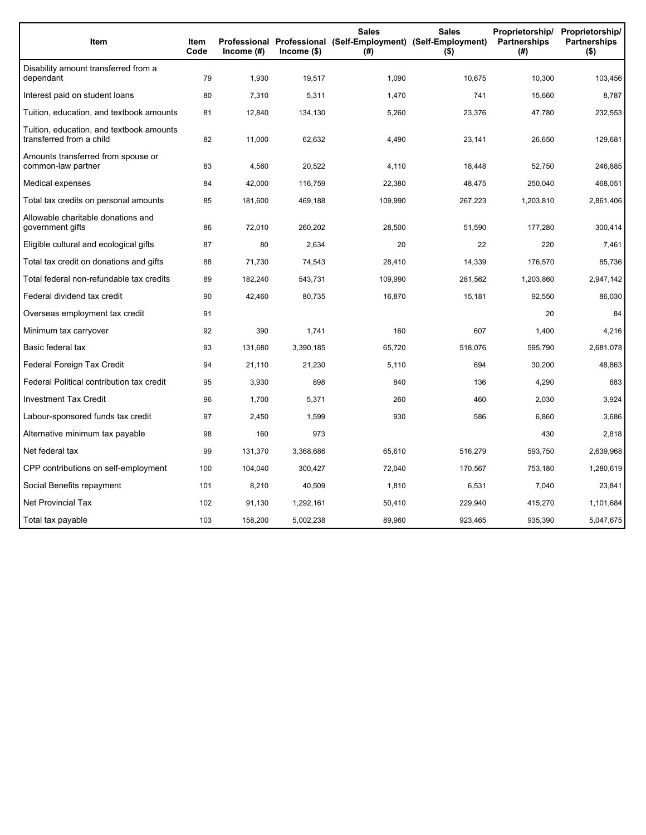| Item                                                                 | Item<br>Code | Income $(#)$ | Income (\$) | <b>Sales</b><br>Professional Professional (Self-Employment) (Self-Employment)<br>(#) | <b>Sales</b><br>$($ \$) | Proprietorship/<br><b>Partnerships</b><br>(#) | Proprietorship/<br><b>Partnerships</b><br>$($ \$) |
|----------------------------------------------------------------------|--------------|--------------|-------------|--------------------------------------------------------------------------------------|-------------------------|-----------------------------------------------|---------------------------------------------------|
| Disability amount transferred from a<br>dependant                    | 79           | 1,930        | 19,517      | 1,090                                                                                | 10,675                  | 10,300                                        | 103,456                                           |
| Interest paid on student loans                                       | 80           | 7,310        | 5,311       | 1,470                                                                                | 741                     | 15,660                                        | 8,787                                             |
| Tuition, education, and textbook amounts                             | 81           | 12,840       | 134,130     | 5,260                                                                                | 23,376                  | 47,780                                        | 232,553                                           |
| Tuition, education, and textbook amounts<br>transferred from a child | 82           | 11,000       | 62,632      | 4,490                                                                                | 23,141                  | 26,650                                        | 129,681                                           |
| Amounts transferred from spouse or<br>common-law partner             | 83           | 4,560        | 20,522      | 4,110                                                                                | 18,448                  | 52,750                                        | 246,885                                           |
| Medical expenses                                                     | 84           | 42,000       | 116,759     | 22,380                                                                               | 48,475                  | 250,040                                       | 468,051                                           |
| Total tax credits on personal amounts                                | 85           | 181,600      | 469,188     | 109,990                                                                              | 267,223                 | 1,203,810                                     | 2,861,406                                         |
| Allowable charitable donations and<br>government gifts               | 86           | 72,010       | 260,202     | 28,500                                                                               | 51,590                  | 177,280                                       | 300,414                                           |
| Eligible cultural and ecological gifts                               | 87           | 80           | 2,634       | 20                                                                                   | 22                      | 220                                           | 7,461                                             |
| Total tax credit on donations and gifts                              | 88           | 71,730       | 74,543      | 28,410                                                                               | 14,339                  | 176,570                                       | 85,736                                            |
| Total federal non-refundable tax credits                             | 89           | 182,240      | 543,731     | 109,990                                                                              | 281,562                 | 1,203,860                                     | 2,947,142                                         |
| Federal dividend tax credit                                          | 90           | 42,460       | 80,735      | 16,870                                                                               | 15,181                  | 92,550                                        | 86,030                                            |
| Overseas employment tax credit                                       | 91           |              |             |                                                                                      |                         | 20                                            | 84                                                |
| Minimum tax carryover                                                | 92           | 390          | 1,741       | 160                                                                                  | 607                     | 1,400                                         | 4,216                                             |
| Basic federal tax                                                    | 93           | 131,680      | 3,390,185   | 65,720                                                                               | 518,076                 | 595,790                                       | 2,681,078                                         |
| Federal Foreign Tax Credit                                           | 94           | 21,110       | 21,230      | 5,110                                                                                | 694                     | 30,200                                        | 48,863                                            |
| Federal Political contribution tax credit                            | 95           | 3,930        | 898         | 840                                                                                  | 136                     | 4,290                                         | 683                                               |
| <b>Investment Tax Credit</b>                                         | 96           | 1,700        | 5,371       | 260                                                                                  | 460                     | 2,030                                         | 3,924                                             |
| Labour-sponsored funds tax credit                                    | 97           | 2,450        | 1,599       | 930                                                                                  | 586                     | 6,860                                         | 3,686                                             |
| Alternative minimum tax payable                                      | 98           | 160          | 973         |                                                                                      |                         | 430                                           | 2,818                                             |
| Net federal tax                                                      | 99           | 131,370      | 3,368,686   | 65,610                                                                               | 516,279                 | 593,750                                       | 2,639,968                                         |
| CPP contributions on self-employment                                 | 100          | 104,040      | 300,427     | 72,040                                                                               | 170,567                 | 753,180                                       | 1,280,619                                         |
| Social Benefits repayment                                            | 101          | 8,210        | 40,509      | 1,810                                                                                | 6,531                   | 7,040                                         | 23,841                                            |
| <b>Net Provincial Tax</b>                                            | 102          | 91,130       | 1,292,161   | 50,410                                                                               | 229,940                 | 415,270                                       | 1,101,684                                         |
| Total tax payable                                                    | 103          | 158,200      | 5,002,238   | 89,960                                                                               | 923,465                 | 935,390                                       | 5,047,675                                         |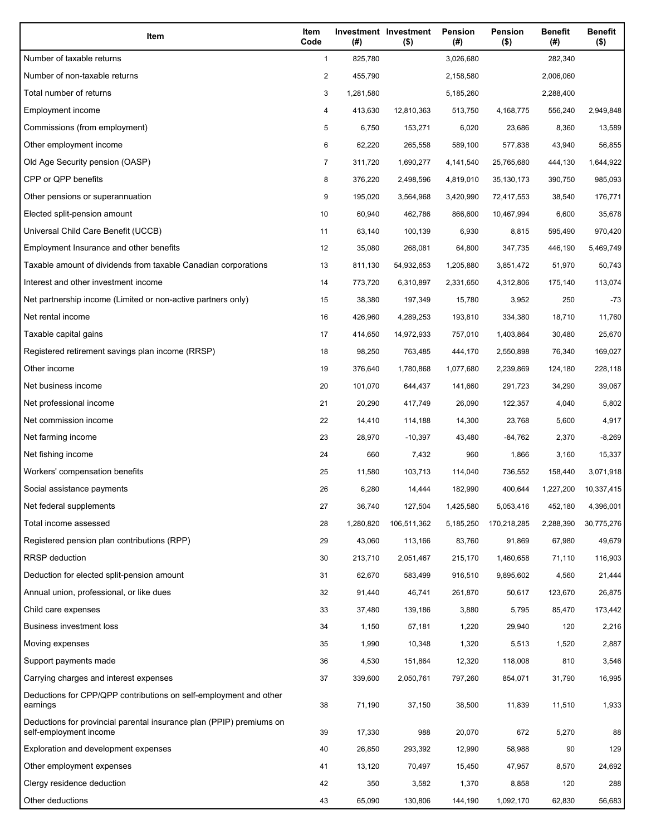| Item                                                                                           | Item<br>Code   | (#)       | Investment Investment<br>$($ \$) | <b>Pension</b><br>(#) | Pension<br>$($ \$) | <b>Benefit</b><br>(#) | <b>Benefit</b><br>$($ \$) |
|------------------------------------------------------------------------------------------------|----------------|-----------|----------------------------------|-----------------------|--------------------|-----------------------|---------------------------|
| Number of taxable returns                                                                      | $\mathbf{1}$   | 825,780   |                                  | 3,026,680             |                    | 282,340               |                           |
| Number of non-taxable returns                                                                  | $\overline{c}$ | 455,790   |                                  | 2,158,580             |                    | 2,006,060             |                           |
| Total number of returns                                                                        | 3              | 1,281,580 |                                  | 5,185,260             |                    | 2,288,400             |                           |
| Employment income                                                                              | 4              | 413,630   | 12,810,363                       | 513,750               | 4,168,775          | 556,240               | 2,949,848                 |
| Commissions (from employment)                                                                  | 5              | 6,750     | 153,271                          | 6,020                 | 23,686             | 8,360                 | 13,589                    |
| Other employment income                                                                        | 6              | 62,220    | 265,558                          | 589,100               | 577,838            | 43,940                | 56,855                    |
| Old Age Security pension (OASP)                                                                | $\overline{7}$ | 311,720   | 1,690,277                        | 4,141,540             | 25,765,680         | 444,130               | 1,644,922                 |
| CPP or QPP benefits                                                                            | 8              | 376,220   | 2,498,596                        | 4,819,010             | 35, 130, 173       | 390,750               | 985,093                   |
| Other pensions or superannuation                                                               | 9              | 195,020   | 3,564,968                        | 3,420,990             | 72,417,553         | 38,540                | 176,771                   |
| Elected split-pension amount                                                                   | 10             | 60,940    | 462,786                          | 866,600               | 10,467,994         | 6,600                 | 35,678                    |
| Universal Child Care Benefit (UCCB)                                                            | 11             | 63,140    | 100,139                          | 6,930                 | 8,815              | 595,490               | 970,420                   |
| Employment Insurance and other benefits                                                        | 12             | 35,080    | 268,081                          | 64,800                | 347,735            | 446,190               | 5,469,749                 |
| Taxable amount of dividends from taxable Canadian corporations                                 | 13             | 811,130   | 54,932,653                       | 1,205,880             | 3,851,472          | 51,970                | 50,743                    |
| Interest and other investment income                                                           | 14             | 773,720   | 6,310,897                        | 2,331,650             | 4,312,806          | 175,140               | 113,074                   |
| Net partnership income (Limited or non-active partners only)                                   | 15             | 38,380    | 197,349                          | 15,780                | 3,952              | 250                   | $-73$                     |
| Net rental income                                                                              | 16             | 426,960   | 4,289,253                        | 193,810               | 334,380            | 18,710                | 11,760                    |
| Taxable capital gains                                                                          | 17             | 414,650   | 14,972,933                       | 757,010               | 1,403,864          | 30,480                | 25,670                    |
| Registered retirement savings plan income (RRSP)                                               | 18             | 98,250    | 763,485                          | 444,170               | 2,550,898          | 76,340                | 169,027                   |
| Other income                                                                                   | 19             | 376,640   | 1,780,868                        | 1,077,680             | 2,239,869          | 124,180               | 228,118                   |
| Net business income                                                                            | 20             | 101,070   | 644,437                          | 141,660               | 291,723            | 34,290                | 39,067                    |
| Net professional income                                                                        | 21             | 20,290    | 417,749                          | 26,090                | 122,357            | 4,040                 | 5,802                     |
| Net commission income                                                                          | 22             | 14,410    | 114,188                          | 14,300                | 23,768             | 5,600                 | 4,917                     |
| Net farming income                                                                             | 23             | 28,970    | $-10,397$                        | 43,480                | $-84,762$          | 2,370                 | $-8,269$                  |
| Net fishing income                                                                             | 24             | 660       | 7,432                            | 960                   | 1,866              | 3,160                 | 15,337                    |
| Workers' compensation benefits                                                                 | 25             | 11,580    | 103,713                          | 114,040               | 736,552            | 158.440               | 3,071,918                 |
| Social assistance payments                                                                     | 26             | 6,280     | 14,444                           | 182,990               | 400,644            | 1,227,200             | 10,337,415                |
| Net federal supplements                                                                        | 27             | 36,740    | 127,504                          | 1,425,580             | 5,053,416          | 452,180               | 4,396,001                 |
| Total income assessed                                                                          | 28             | 1,280,820 | 106,511,362                      | 5,185,250             | 170,218,285        | 2,288,390             | 30,775,276                |
| Registered pension plan contributions (RPP)                                                    | 29             | 43,060    | 113,166                          | 83,760                | 91,869             | 67,980                | 49,679                    |
| <b>RRSP</b> deduction                                                                          | 30             | 213,710   | 2,051,467                        | 215,170               | 1,460,658          | 71,110                | 116,903                   |
| Deduction for elected split-pension amount                                                     | 31             | 62,670    | 583,499                          | 916,510               | 9,895,602          | 4,560                 | 21,444                    |
| Annual union, professional, or like dues                                                       | 32             | 91,440    | 46,741                           | 261,870               | 50,617             | 123,670               | 26,875                    |
| Child care expenses                                                                            | 33             | 37,480    | 139,186                          | 3,880                 | 5,795              | 85,470                | 173,442                   |
| <b>Business investment loss</b>                                                                | 34             | 1,150     | 57,181                           | 1,220                 | 29,940             | 120                   | 2,216                     |
| Moving expenses                                                                                | 35             | 1,990     | 10,348                           | 1,320                 | 5,513              | 1,520                 | 2,887                     |
| Support payments made                                                                          | 36             | 4,530     | 151,864                          | 12,320                | 118,008            | 810                   | 3,546                     |
| Carrying charges and interest expenses                                                         | 37             | 339,600   | 2,050,761                        | 797,260               | 854,071            | 31,790                | 16,995                    |
| Deductions for CPP/QPP contributions on self-employment and other<br>earnings                  | 38             | 71,190    | 37,150                           | 38,500                | 11,839             | 11,510                | 1,933                     |
| Deductions for provincial parental insurance plan (PPIP) premiums on<br>self-employment income | 39             | 17,330    | 988                              | 20,070                | 672                | 5,270                 | 88                        |
| Exploration and development expenses                                                           | 40             | 26,850    | 293,392                          | 12,990                | 58,988             | 90                    | 129                       |
| Other employment expenses                                                                      | 41             | 13,120    | 70,497                           | 15,450                | 47,957             | 8,570                 | 24,692                    |
| Clergy residence deduction                                                                     | 42             | 350       | 3,582                            | 1,370                 | 8,858              | 120                   | 288                       |
| Other deductions                                                                               | 43             | 65,090    | 130,806                          | 144,190               | 1,092,170          | 62,830                | 56,683                    |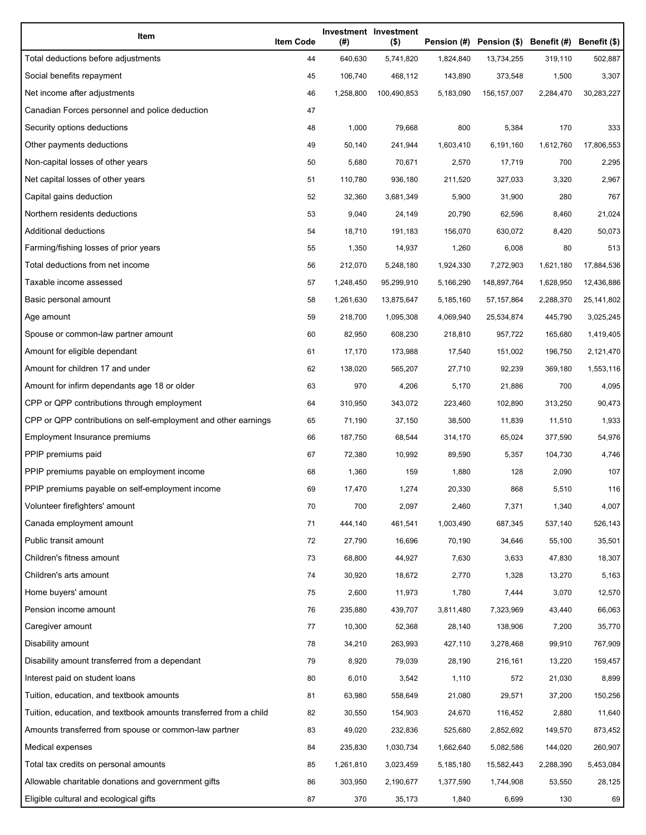| Item                                                              | <b>Item Code</b> | (#)       | Investment Investment<br>$($ \$) |           | Pension (#) Pension (\$) Benefit (#) Benefit (\$) |           |            |
|-------------------------------------------------------------------|------------------|-----------|----------------------------------|-----------|---------------------------------------------------|-----------|------------|
| Total deductions before adjustments                               | 44               | 640,630   | 5,741,820                        | 1,824,840 | 13,734,255                                        | 319,110   | 502,887    |
| Social benefits repayment                                         | 45               | 106,740   | 468,112                          | 143,890   | 373,548                                           | 1,500     | 3,307      |
| Net income after adjustments                                      | 46               | 1,258,800 | 100,490,853                      | 5,183,090 | 156, 157, 007                                     | 2,284,470 | 30,283,227 |
| Canadian Forces personnel and police deduction                    | 47               |           |                                  |           |                                                   |           |            |
| Security options deductions                                       | 48               | 1,000     | 79,668                           | 800       | 5,384                                             | 170       | 333        |
| Other payments deductions                                         | 49               | 50,140    | 241,944                          | 1,603,410 | 6,191,160                                         | 1,612,760 | 17,806,553 |
| Non-capital losses of other years                                 | 50               | 5,680     | 70,671                           | 2,570     | 17,719                                            | 700       | 2,295      |
| Net capital losses of other years                                 | 51               | 110,780   | 936,180                          | 211,520   | 327,033                                           | 3,320     | 2,967      |
| Capital gains deduction                                           | 52               | 32,360    | 3,681,349                        | 5,900     | 31,900                                            | 280       | 767        |
| Northern residents deductions                                     | 53               | 9,040     | 24,149                           | 20,790    | 62,596                                            | 8,460     | 21,024     |
| Additional deductions                                             | 54               | 18,710    | 191,183                          | 156,070   | 630,072                                           | 8,420     | 50,073     |
| Farming/fishing losses of prior years                             | 55               | 1,350     | 14,937                           | 1,260     | 6,008                                             | 80        | 513        |
| Total deductions from net income                                  | 56               | 212,070   | 5,248,180                        | 1,924,330 | 7,272,903                                         | 1,621,180 | 17,884,536 |
| Taxable income assessed                                           | 57               | 1,248,450 | 95,299,910                       | 5,166,290 | 148,897,764                                       | 1,628,950 | 12,436,886 |
| Basic personal amount                                             | 58               | 1,261,630 | 13,875,647                       | 5,185,160 | 57, 157, 864                                      | 2,288,370 | 25,141,802 |
| Age amount                                                        | 59               | 218,700   | 1,095,308                        | 4,069,940 | 25,534,874                                        | 445,790   | 3,025,245  |
| Spouse or common-law partner amount                               | 60               | 82,950    | 608,230                          | 218,810   | 957,722                                           | 165,680   | 1,419,405  |
| Amount for eligible dependant                                     | 61               | 17,170    | 173,988                          | 17,540    | 151,002                                           | 196,750   | 2,121,470  |
| Amount for children 17 and under                                  | 62               | 138,020   | 565,207                          | 27,710    | 92,239                                            | 369,180   | 1,553,116  |
| Amount for infirm dependants age 18 or older                      | 63               | 970       | 4,206                            | 5,170     | 21,886                                            | 700       | 4,095      |
| CPP or QPP contributions through employment                       | 64               | 310,950   | 343,072                          | 223,460   | 102,890                                           | 313,250   | 90,473     |
| CPP or QPP contributions on self-employment and other earnings    | 65               | 71,190    | 37,150                           | 38,500    | 11,839                                            | 11,510    | 1,933      |
| Employment Insurance premiums                                     | 66               | 187,750   | 68,544                           | 314,170   | 65,024                                            | 377,590   | 54,976     |
| PPIP premiums paid                                                | 67               | 72,380    | 10,992                           | 89,590    | 5,357                                             | 104,730   | 4,746      |
| PPIP premiums payable on employment income                        | 68               | 1,360     | 159                              | 1,880     | 128                                               | 2,090     | 107        |
| PPIP premiums payable on self-employment income                   | 69               | 17,470    | 1,274                            | 20,330    | 868                                               | 5,510     | 116        |
| Volunteer firefighters' amount                                    | 70               | 700       | 2,097                            | 2,460     | 7,371                                             | 1,340     | 4,007      |
| Canada employment amount                                          | 71               | 444,140   | 461,541                          | 1,003,490 | 687,345                                           | 537,140   | 526,143    |
| Public transit amount                                             | 72               | 27,790    | 16,696                           | 70,190    | 34,646                                            | 55,100    | 35,501     |
| Children's fitness amount                                         | 73               | 68,800    | 44,927                           | 7,630     | 3,633                                             | 47,830    | 18,307     |
| Children's arts amount                                            | 74               | 30,920    | 18,672                           | 2,770     | 1,328                                             | 13,270    | 5,163      |
| Home buyers' amount                                               | 75               | 2,600     | 11,973                           | 1,780     | 7,444                                             | 3,070     | 12,570     |
| Pension income amount                                             | 76               | 235,880   | 439,707                          | 3,811,480 | 7,323,969                                         | 43,440    | 66,063     |
| Caregiver amount                                                  | 77               | 10,300    | 52,368                           | 28,140    | 138,906                                           | 7,200     | 35,770     |
| Disability amount                                                 | 78               | 34,210    | 263,993                          | 427,110   | 3,278,468                                         | 99,910    | 767,909    |
| Disability amount transferred from a dependant                    | 79               | 8,920     | 79,039                           | 28,190    | 216,161                                           | 13,220    | 159,457    |
| Interest paid on student loans                                    | 80               | 6,010     | 3,542                            | 1,110     | 572                                               | 21,030    | 8,899      |
| Tuition, education, and textbook amounts                          | 81               | 63,980    | 558,649                          | 21,080    | 29,571                                            | 37,200    | 150,256    |
| Tuition, education, and textbook amounts transferred from a child | 82               | 30,550    | 154,903                          | 24,670    | 116,452                                           | 2,880     | 11,640     |
| Amounts transferred from spouse or common-law partner             | 83               | 49,020    | 232,836                          | 525,680   | 2,852,692                                         | 149,570   | 873,452    |
| Medical expenses                                                  | 84               | 235,830   | 1,030,734                        | 1,662,640 | 5,082,586                                         | 144,020   | 260,907    |
| Total tax credits on personal amounts                             | 85               | 1,261,810 | 3,023,459                        | 5,185,180 | 15,582,443                                        | 2,288,390 | 5,453,084  |
| Allowable charitable donations and government gifts               | 86               | 303,950   | 2,190,677                        | 1,377,590 | 1,744,908                                         | 53,550    | 28,125     |
| Eligible cultural and ecological gifts                            | 87               | 370       | 35,173                           | 1,840     | 6,699                                             | 130       | 69         |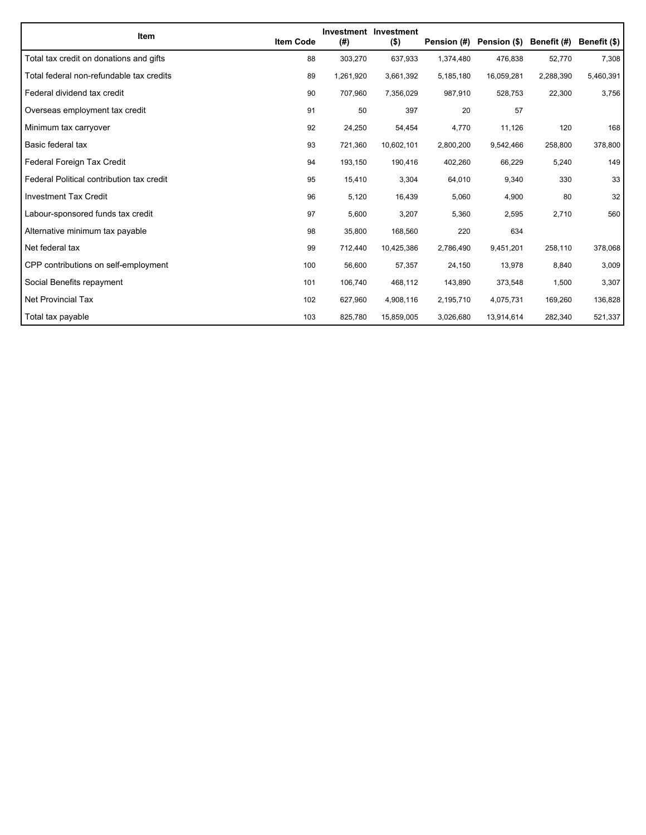| Item                                      | <b>Item Code</b> | (#)       | <b>Investment Investment</b><br>$($ \$) | Pension (#) | Pension (\$) Benefit (#) |           | Benefit (\$) |
|-------------------------------------------|------------------|-----------|-----------------------------------------|-------------|--------------------------|-----------|--------------|
| Total tax credit on donations and gifts   | 88               | 303,270   | 637,933                                 | 1,374,480   | 476,838                  | 52,770    | 7,308        |
| Total federal non-refundable tax credits  | 89               | 1,261,920 | 3,661,392                               | 5,185,180   | 16,059,281               | 2,288,390 | 5,460,391    |
| Federal dividend tax credit               | 90               | 707,960   | 7,356,029                               | 987,910     | 528,753                  | 22,300    | 3,756        |
| Overseas employment tax credit            | 91               | 50        | 397                                     | 20          | 57                       |           |              |
| Minimum tax carryover                     | 92               | 24,250    | 54,454                                  | 4,770       | 11,126                   | 120       | 168          |
| Basic federal tax                         | 93               | 721,360   | 10,602,101                              | 2,800,200   | 9,542,466                | 258,800   | 378,800      |
| Federal Foreign Tax Credit                | 94               | 193,150   | 190,416                                 | 402,260     | 66,229                   | 5,240     | 149          |
| Federal Political contribution tax credit | 95               | 15,410    | 3,304                                   | 64,010      | 9,340                    | 330       | 33           |
| <b>Investment Tax Credit</b>              | 96               | 5,120     | 16,439                                  | 5,060       | 4,900                    | 80        | 32           |
| Labour-sponsored funds tax credit         | 97               | 5,600     | 3,207                                   | 5,360       | 2,595                    | 2,710     | 560          |
| Alternative minimum tax payable           | 98               | 35,800    | 168,560                                 | 220         | 634                      |           |              |
| Net federal tax                           | 99               | 712,440   | 10,425,386                              | 2,786,490   | 9,451,201                | 258,110   | 378,068      |
| CPP contributions on self-employment      | 100              | 56,600    | 57,357                                  | 24,150      | 13,978                   | 8,840     | 3,009        |
| Social Benefits repayment                 | 101              | 106,740   | 468,112                                 | 143,890     | 373,548                  | 1,500     | 3,307        |
| Net Provincial Tax                        | 102              | 627,960   | 4,908,116                               | 2,195,710   | 4,075,731                | 169,260   | 136,828      |
| Total tax payable                         | 103              | 825,780   | 15,859,005                              | 3,026,680   | 13,914,614               | 282,340   | 521,337      |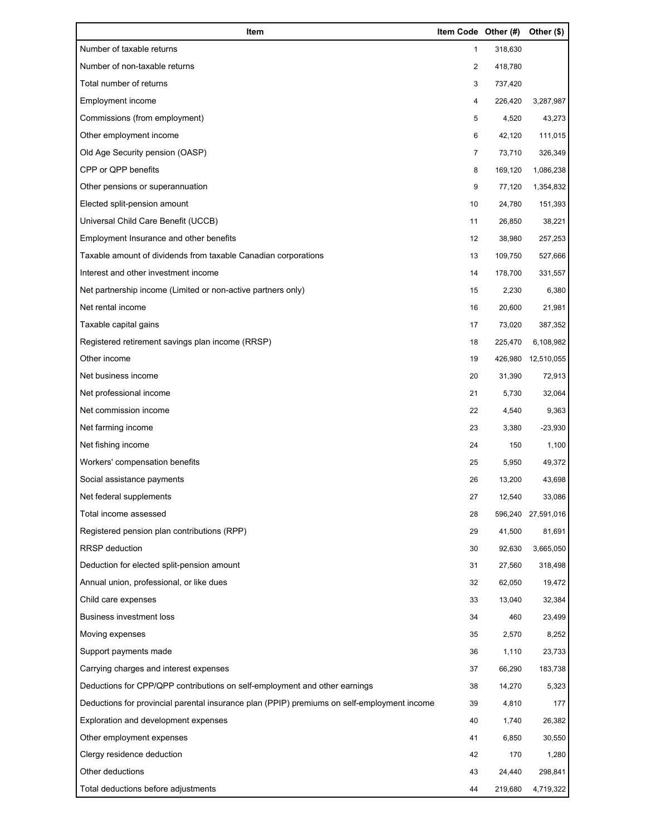| Item                                                                                        | Item Code Other (#) |         | Other (\$) |
|---------------------------------------------------------------------------------------------|---------------------|---------|------------|
| Number of taxable returns                                                                   | 1                   | 318,630 |            |
| Number of non-taxable returns                                                               | 2                   | 418,780 |            |
| Total number of returns                                                                     | 3                   | 737,420 |            |
| Employment income                                                                           | 4                   | 226,420 | 3,287,987  |
| Commissions (from employment)                                                               | 5                   | 4,520   | 43,273     |
| Other employment income                                                                     | 6                   | 42,120  | 111,015    |
| Old Age Security pension (OASP)                                                             | 7                   | 73,710  | 326,349    |
| CPP or QPP benefits                                                                         | 8                   | 169,120 | 1,086,238  |
| Other pensions or superannuation                                                            | 9                   | 77,120  | 1,354,832  |
| Elected split-pension amount                                                                | 10                  | 24,780  | 151,393    |
| Universal Child Care Benefit (UCCB)                                                         | 11                  | 26,850  | 38,221     |
| Employment Insurance and other benefits                                                     | 12                  | 38,980  | 257,253    |
| Taxable amount of dividends from taxable Canadian corporations                              | 13                  | 109,750 | 527,666    |
| Interest and other investment income                                                        | 14                  | 178,700 | 331,557    |
| Net partnership income (Limited or non-active partners only)                                | 15                  | 2,230   | 6,380      |
| Net rental income                                                                           | 16                  | 20,600  | 21,981     |
| Taxable capital gains                                                                       | 17                  | 73,020  | 387,352    |
| Registered retirement savings plan income (RRSP)                                            | 18                  | 225,470 | 6,108,982  |
| Other income                                                                                | 19                  | 426,980 | 12,510,055 |
| Net business income                                                                         | 20                  | 31,390  | 72,913     |
| Net professional income                                                                     | 21                  | 5,730   | 32,064     |
| Net commission income                                                                       | 22                  | 4,540   | 9,363      |
| Net farming income                                                                          | 23                  | 3,380   | $-23,930$  |
| Net fishing income                                                                          | 24                  | 150     | 1,100      |
| Workers' compensation benefits                                                              | 25                  | 5,950   | 49,372     |
| Social assistance payments                                                                  | 26                  | 13,200  | 43,698     |
| Net federal supplements                                                                     | 27                  | 12,540  | 33,086     |
| Total income assessed                                                                       | 28                  | 596,240 | 27,591,016 |
| Registered pension plan contributions (RPP)                                                 | 29                  | 41,500  | 81,691     |
| <b>RRSP</b> deduction                                                                       | 30                  | 92,630  | 3,665,050  |
| Deduction for elected split-pension amount                                                  | 31                  | 27,560  | 318,498    |
| Annual union, professional, or like dues                                                    | 32                  | 62,050  | 19,472     |
| Child care expenses                                                                         | 33                  | 13,040  | 32,384     |
| <b>Business investment loss</b>                                                             | 34                  | 460     | 23,499     |
| Moving expenses                                                                             | 35                  | 2,570   | 8,252      |
| Support payments made                                                                       | 36                  | 1,110   | 23,733     |
| Carrying charges and interest expenses                                                      | 37                  | 66,290  | 183,738    |
| Deductions for CPP/QPP contributions on self-employment and other earnings                  | 38                  | 14,270  | 5,323      |
| Deductions for provincial parental insurance plan (PPIP) premiums on self-employment income | 39                  | 4,810   | 177        |
| Exploration and development expenses                                                        | 40                  | 1,740   | 26,382     |
| Other employment expenses                                                                   | 41                  | 6,850   | 30,550     |
| Clergy residence deduction                                                                  | 42                  | 170     | 1,280      |
| Other deductions                                                                            | 43                  | 24,440  | 298,841    |
| Total deductions before adjustments                                                         | 44                  | 219,680 | 4,719,322  |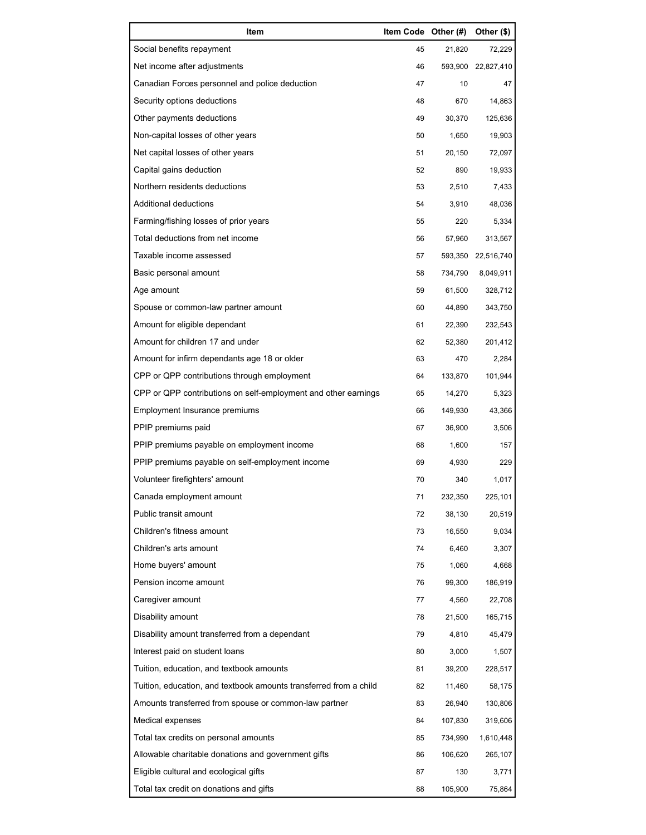| Item                                                              | Item Code Other (#) |         | Other (\$) |
|-------------------------------------------------------------------|---------------------|---------|------------|
| Social benefits repayment                                         | 45                  | 21,820  | 72,229     |
| Net income after adjustments                                      | 46                  | 593,900 | 22,827,410 |
| Canadian Forces personnel and police deduction                    | 47                  | 10      | 47         |
| Security options deductions                                       | 48                  | 670     | 14,863     |
| Other payments deductions                                         | 49                  | 30,370  | 125,636    |
| Non-capital losses of other years                                 | 50                  | 1,650   | 19,903     |
| Net capital losses of other years                                 | 51                  | 20,150  | 72,097     |
| Capital gains deduction                                           | 52                  | 890     | 19,933     |
| Northern residents deductions                                     | 53                  | 2,510   | 7,433      |
| Additional deductions                                             | 54                  | 3,910   | 48,036     |
| Farming/fishing losses of prior years                             | 55                  | 220     | 5,334      |
| Total deductions from net income                                  | 56                  | 57,960  | 313,567    |
| Taxable income assessed                                           | 57                  | 593,350 | 22,516,740 |
| Basic personal amount                                             | 58                  | 734,790 | 8,049,911  |
| Age amount                                                        | 59                  | 61,500  | 328,712    |
| Spouse or common-law partner amount                               | 60                  | 44,890  | 343,750    |
| Amount for eligible dependant                                     | 61                  | 22,390  | 232,543    |
| Amount for children 17 and under                                  | 62                  | 52,380  | 201,412    |
| Amount for infirm dependants age 18 or older                      | 63                  | 470     | 2,284      |
| CPP or QPP contributions through employment                       | 64                  | 133,870 | 101,944    |
| CPP or QPP contributions on self-employment and other earnings    | 65                  | 14,270  | 5,323      |
| Employment Insurance premiums                                     | 66                  | 149,930 | 43,366     |
| PPIP premiums paid                                                | 67                  | 36,900  | 3,506      |
| PPIP premiums payable on employment income                        | 68                  | 1,600   | 157        |
| PPIP premiums payable on self-employment income                   | 69                  | 4,930   | 229        |
| Volunteer firefighters' amount                                    | 70                  | 340     | 1,017      |
| Canada employment amount                                          | 71                  | 232,350 | 225,101    |
| Public transit amount                                             | 72                  | 38,130  | 20,519     |
| Children's fitness amount                                         | 73                  | 16,550  | 9,034      |
| Children's arts amount                                            | 74                  | 6,460   | 3,307      |
| Home buyers' amount                                               | 75                  | 1,060   | 4,668      |
| Pension income amount                                             | 76                  | 99,300  | 186,919    |
| Caregiver amount                                                  | 77                  | 4,560   | 22,708     |
| Disability amount                                                 | 78                  | 21,500  | 165,715    |
| Disability amount transferred from a dependant                    | 79                  | 4,810   | 45,479     |
| Interest paid on student loans                                    | 80                  | 3,000   | 1,507      |
| Tuition, education, and textbook amounts                          | 81                  | 39,200  | 228,517    |
| Tuition, education, and textbook amounts transferred from a child | 82                  | 11,460  | 58,175     |
| Amounts transferred from spouse or common-law partner             | 83                  | 26,940  | 130,806    |
| Medical expenses                                                  | 84                  | 107,830 | 319,606    |
| Total tax credits on personal amounts                             | 85                  | 734,990 | 1,610,448  |
| Allowable charitable donations and government gifts               | 86                  | 106,620 | 265,107    |
| Eligible cultural and ecological gifts                            | 87                  | 130     | 3,771      |
| Total tax credit on donations and gifts                           | 88                  | 105,900 | 75,864     |